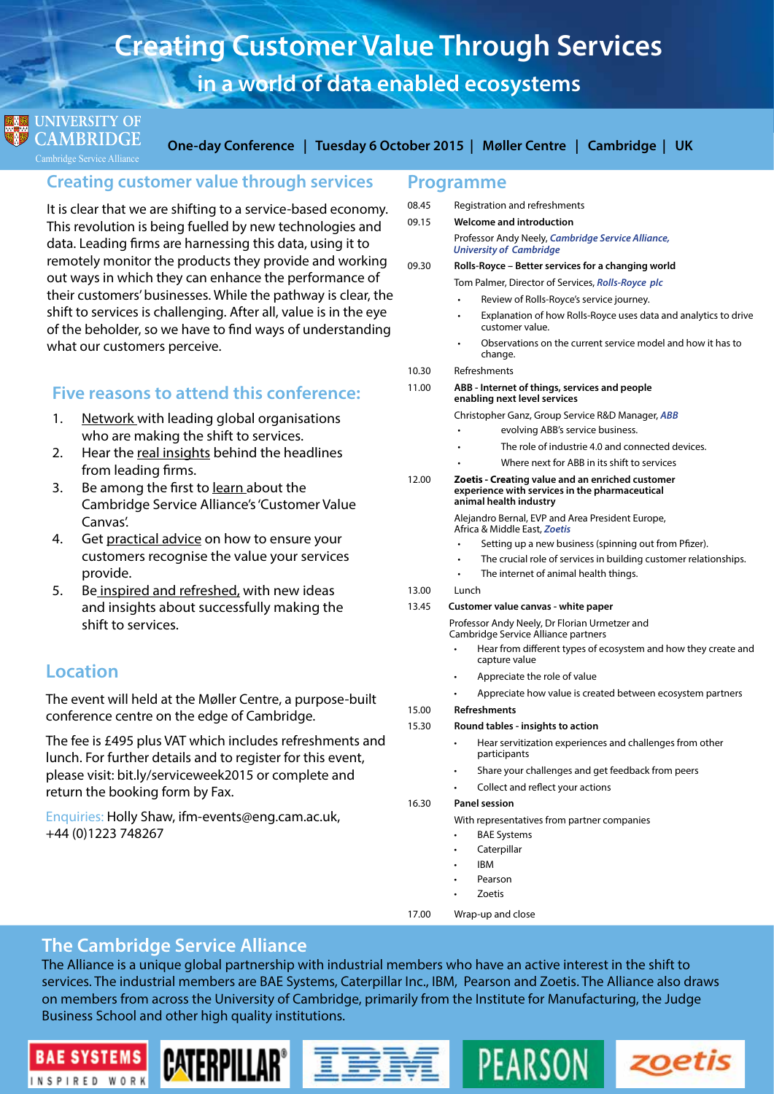# **Creating Customer Value Through Services in a world of data enabled ecosystems**

### **UNIVERSITY OF CAMBRIDGE**

Cambridge Service Alliance

**One-day Conference | Tuesday 6 October 2015 | Møller Centre | Cambridge | UK**

## **Creating customer value through services**

It is clear that we are shifting to a service-based economy. This revolution is being fuelled by new technologies and data. Leading firms are harnessing this data, using it to remotely monitor the products they provide and working out ways in which they can enhance the performance of their customers' businesses. While the pathway is clear, the shift to services is challenging. After all, value is in the eye of the beholder, so we have to find ways of understanding what our customers perceive.

## **Five reasons to attend this conference:**

- 1. Network with leading global organisations who are making the shift to services.
- 2. Hear the real insights behind the headlines from leading firms.
- 3. Be among the first to learn about the Cambridge Service Alliance's 'Customer Value Canvas'.
- 4. Get practical advice on how to ensure your customers recognise the value your services provide.
- 5. Be inspired and refreshed, with new ideas and insights about successfully making the shift to services.

# **Location**

**BAE SYSTEMS** 

INSPIRED WORK

The event will held at the Møller Centre, a purpose-built conference centre on the edge of Cambridge.

The fee is £495 plus VAT which includes refreshments and lunch. For further details and to register for this event, please visit: <bit.ly/serviceweek2015> or complete and return the booking form by Fax.

**CATERPILLAR** 

Enquiries: Holly Shaw, ifm-events@eng.cam.ac.uk, +44 (0)1223 748267

### **Programme**

08.45 Registration and refreshments

- 09.15 **Welcome and introduction**  Professor Andy Neely, *Cambridge Service Alliance, University of Cambridge* 09.30 **Rolls-Royce – Better services for a changing world** Tom Palmer, Director of Services, *Rolls-Royce plc* Review of Rolls-Royce's service journey. Explanation of how Rolls-Royce uses data and analytics to drive customer value.
	- Observations on the current service model and how it has to change.
- 10.30 Refreshments
- 11.00 **ABB Internet of things, services and people enabling next level services**

Christopher Ganz, Group Service R&D Manager, *ABB*

- evolving ABB's service business.
- The role of industrie 4.0 and connected devices.
- Where next for ABB in its shift to services

#### 12.00 **Zoetis - Creating value and an enriched customer experience with services in the pharmaceutical animal health industry**

 Alejandro Bernal, EVP and Area President Europe, Africa & Middle East, *Zoetis*

- Setting up a new business (spinning out from Pfizer).
- The crucial role of services in building customer relationships.
- The internet of animal health things.
- 13.00 Lunch

#### 13.45 **Customer value canvas - white paper**

 Professor Andy Neely, Dr Florian Urmetzer and Cambridge Service Alliance partners

- Hear from different types of ecosystem and how they create and capture value
- Appreciate the role of value
- Appreciate how value is created between ecosystem partners
- 15.00 **Refreshments**

#### 15.30 **Round tables - insights to action**

Hear servitization experiences and challenges from other participants

zoetis

- Share your challenges and get feedback from peers
- Collect and reflect your actions

PEARSON

#### 16.30 **Panel session**

With representatives from partner companies

- **BAE Systems**
- **Caterpillar**
- • IBM
- Pearson
- • Zoetis
- 17.00 Wrap-up and close

# **The Cambridge Service Alliance**

The Alliance is a unique global partnership with industrial members who have an active interest in the shift to services. The industrial members are BAE Systems, Caterpillar Inc., IBM, Pearson and Zoetis. The Alliance also draws on members from across the University of Cambridge, primarily from the Institute for Manufacturing, the Judge Business School and other high quality institutions.